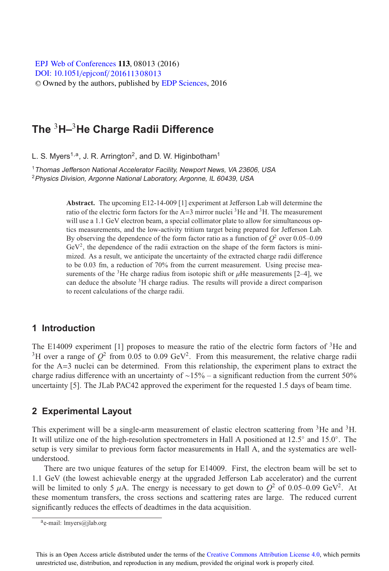[DOI: 10.1051](http://dx.doi.org/10.1051/epjconf/201611308013)/epjconf/201611308013 © Owned by the authors, published by [EDP Sciences,](http://www.edpsciences.org) 2016 **EPJ Web of [Conferences](http://www.epj-conferences.org) 113, 08013 (2016)** 

# **The** <sup>3</sup>**H–**3**He Charge Radii Difference**

L. S. Myers<sup>1,a</sup>, J. R. Arrington<sup>2</sup>, and D. W. Higinbotham<sup>1</sup>

<sup>1</sup> Thomas Jefferson National Accelerator Facility, Newport News, VA 23606, USA <sup>2</sup>Physics Division, Argonne National Laboratory, Argonne, IL 60439, USA

> **Abstract.** The upcoming E12-14-009 [1] experiment at Jefferson Lab will determine the ratio of the electric form factors for the A=3 mirror nuclei 3He and 3H. The measurement will use a 1.1 GeV electron beam, a special collimator plate to allow for simultaneous optics measurements, and the low-activity tritium target being prepared for Jefferson Lab. By observing the dependence of the form factor ratio as a function of  $O^2$  over 0.05–0.09  $GeV<sup>2</sup>$ , the dependence of the radii extraction on the shape of the form factors is minimized. As a result, we anticipate the uncertainty of the extracted charge radii difference to be 0.03 fm, a reduction of 70% from the current measurement. Using precise measurements of the <sup>3</sup>He charge radius from isotopic shift or  $\mu$ He measurements [2–4], we can deduce the absolute 3H charge radius. The results will provide a direct comparison to recent calculations of the charge radii.

#### **1 Introduction**

The E14009 experiment [1] proposes to measure the ratio of the electric form factors of 3He and <sup>3</sup>H over a range of  $Q^2$  from 0.05 to 0.09 GeV<sup>2</sup>. From this measurement, the relative charge radii for the A=3 nuclei can be determined. From this relationship, the experiment plans to extract the charge radius difference with an uncertainty of ∼15% – a significant reduction from the current 50% uncertainty [5]. The JLab PAC42 approved the experiment for the requested 1.5 days of beam time.

#### **2 Experimental Layout**

This experiment will be a single-arm measurement of elastic electron scattering from <sup>3</sup>He and <sup>3</sup>H. It will utilize one of the high-resolution spectrometers in Hall A positioned at 12.5◦ and 15.0◦. The setup is very similar to previous form factor measurements in Hall A, and the systematics are wellunderstood.

There are two unique features of the setup for E14009. First, the electron beam will be set to 1.1 GeV (the lowest achievable energy at the upgraded Jefferson Lab accelerator) and the current will be limited to only 5  $\mu$ A. The energy is necessary to get down to  $Q^2$  of 0.05–0.09 GeV<sup>2</sup>. At these momentum transfers, the cross sections and scattering rates are large. The reduced current significantly reduces the effects of deadtimes in the data acquisition.

 $a$ e-mail: lmyers@jlab.org

This is an Open Access article distributed under the terms of the Creative Commons Attribution License 4.0, which permits unrestricted use, distribution, and reproduction in any medium, provided the original work is properly cited.